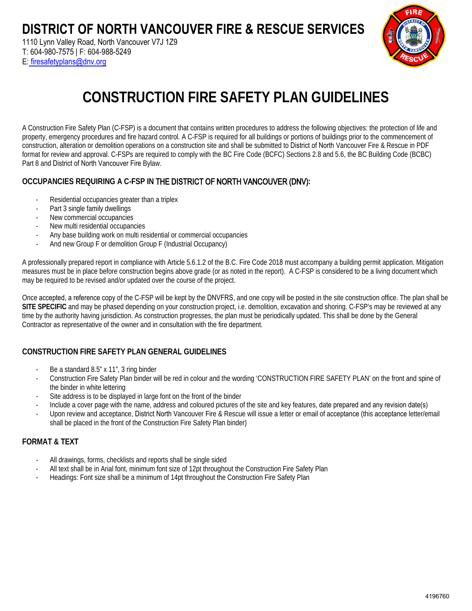1110 Lynn Valley Road, North Vancouver V7J 1Z9 T: 604-980-7575 | F: 604-988-5249 E: firesafetyplans@dnv.org



# **CONSTRUCTION FIRE SAFETY PLAN GUIDELINES**

A Construction Fire Safety Plan (C-FSP) is a document that contains written procedures to address the following objectives: the protection of life and property, emergency procedures and fire hazard control. A C-FSP is required for all buildings or portions of buildings prior to the commencement of construction, alteration or demolition operations on a construction site and shall be submitted to District of North Vancouver Fire & Rescue in PDF format for review and approval. C-FSPs are required to comply with the BC Fire Code (BCFC) Sections 2.8 and 5.6, the BC Building Code (BCBC) Part 8 and District of North Vancouver Fire Bylaw.

#### **OCCUPANCIES REQUIRING A C-FSP IN** THE DISTRICT OF NORTH VANCOUVER (DNV)**:**

- Residential occupancies greater than a triplex
- Part 3 single family dwellings
- New commercial occupancies
- New multi residential occupancies
- Any base building work on multi residential or commercial occupancies
- And new Group F or demolition Group F (Industrial Occupancy)

A professionally prepared report in compliance with Article 5.6.1.2 of the B.C. Fire Code 2018 must accompany a building permit application. Mitigation measures must be in place before construction begins above grade (or as noted in the report). A C-FSP is considered to be a living document which may be required to be revised and/or updated over the course of the project.

Once accepted, a reference copy of the C-FSP will be kept by the DNVFRS, and one copy will be posted in the site construction office. The plan shall be **SITE SPECIFIC** and may be phased depending on your construction project, i.e. demolition, excavation and shoring. C-FSP's may be reviewed at any time by the authority having jurisdiction. As construction progresses, the plan must be periodically updated. This shall be done by the General Contractor as representative of the owner and in consultation with the fire department.

#### **CONSTRUCTION FIRE SAFETY PLAN GENERAL GUIDELINES**

- Be a standard 8.5" x 11", 3 ring binder
- Construction Fire Safety Plan binder will be red in colour and the wording 'CONSTRUCTION FIRE SAFETY PLAN' on the front and spine of the binder in white lettering
- Site address is to be displayed in large font on the front of the binder
- Include a cover page with the name, address and coloured pictures of the site and key features, date prepared and any revision date(s)
- Upon review and acceptance, District North Vancouver Fire & Rescue will issue a letter or email of acceptance (this acceptance letter/email shall be placed in the front of the Construction Fire Safety Plan binder)

#### **FORMAT & TEXT**

- All drawings, forms, checklists and reports shall be single sided
- All text shall be in Arial font, minimum font size of 12pt throughout the Construction Fire Safety Plan
- Headings: Font size shall be a minimum of 14pt throughout the Construction Fire Safety Plan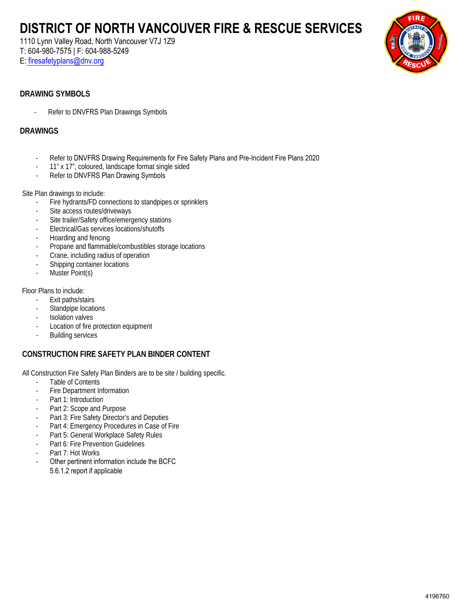1110 Lynn Valley Road, North Vancouver V7J 1Z9 T: 604-980-7575 | F: 604-988-5249

E: firesafetyplans@dnv.org



#### **DRAWING SYMBOLS**

- Refer to DNVFRS Plan Drawings Symbols

#### **DRAWINGS**

- Refer to DNVFRS Drawing Requirements for Fire Safety Plans and Pre-Incident Fire Plans 2020
- 11" x 17", coloured, landscape format single sided
- Refer to DNVFRS Plan Drawing Symbols

Site Plan drawings to include:

- Fire hydrants/FD connections to standpipes or sprinklers
- Site access routes/driveways
- Site trailer/Safety office/emergency stations
- Electrical/Gas services locations/shutoffs
- Hoarding and fencing
- Propane and flammable/combustibles storage locations
- Crane, including radius of operation
- Shipping container locations
- Muster Point(s)

Floor Plans to include:

- Exit paths/stairs
- Standpipe locations
- Isolation valves
- Location of fire protection equipment
- Building services

#### **CONSTRUCTION FIRE SAFETY PLAN BINDER CONTENT**

All Construction Fire Safety Plan Binders are to be site / building specific.

- Table of Contents
- Fire Department Information
- Part 1: Introduction
- Part 2: Scope and Purpose
- Part 3: Fire Safety Director's and Deputies
- Part 4: Emergency Procedures in Case of Fire
- Part 5: General Workplace Safety Rules
- Part 6: Fire Prevention Guidelines
- Part 7: Hot Works
- Other pertinent information include the BCFC 5.6.1.2 report if applicable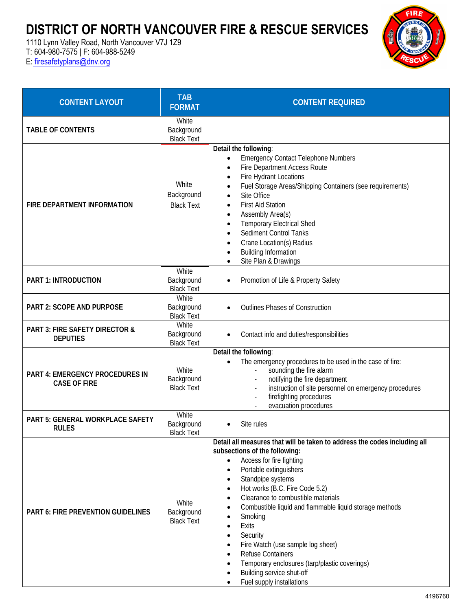1110 Lynn Valley Road, North Vancouver V7J 1Z9

T: 604-980-7575 | F: 604-988-5249

E: [firesafetyplans@dnv.org](mailto:firesafetyplans@dnv.org)



| <b>CONTENT LAYOUT</b>                                        | <b>TAB</b><br><b>FORMAT</b>              | <b>CONTENT REQUIRED</b>                                                                                                                                                                                                                                                                                                                                                                                                                                                                                                                                             |
|--------------------------------------------------------------|------------------------------------------|---------------------------------------------------------------------------------------------------------------------------------------------------------------------------------------------------------------------------------------------------------------------------------------------------------------------------------------------------------------------------------------------------------------------------------------------------------------------------------------------------------------------------------------------------------------------|
| <b>TABLE OF CONTENTS</b>                                     | White<br>Background<br><b>Black Text</b> |                                                                                                                                                                                                                                                                                                                                                                                                                                                                                                                                                                     |
| FIRE DEPARTMENT INFORMATION                                  | White<br>Background<br><b>Black Text</b> | Detail the following:<br><b>Emergency Contact Telephone Numbers</b><br>$\bullet$<br>Fire Department Access Route<br>$\bullet$<br>Fire Hydrant Locations<br>$\bullet$<br>Fuel Storage Areas/Shipping Containers (see requirements)<br>Site Office<br><b>First Aid Station</b><br>Assembly Area(s)<br>$\bullet$<br><b>Temporary Electrical Shed</b><br>Sediment Control Tanks<br>Crane Location(s) Radius<br><b>Building Information</b><br>Site Plan & Drawings                                                                                                      |
| <b>PART 1: INTRODUCTION</b>                                  | White<br>Background<br><b>Black Text</b> | Promotion of Life & Property Safety                                                                                                                                                                                                                                                                                                                                                                                                                                                                                                                                 |
| PART 2: SCOPE AND PURPOSE                                    | White<br>Background<br><b>Black Text</b> | <b>Outlines Phases of Construction</b>                                                                                                                                                                                                                                                                                                                                                                                                                                                                                                                              |
| <b>PART 3: FIRE SAFETY DIRECTOR &amp;</b><br><b>DEPUTIES</b> | White<br>Background<br><b>Black Text</b> | Contact info and duties/responsibilities                                                                                                                                                                                                                                                                                                                                                                                                                                                                                                                            |
| PART 4: EMERGENCY PROCEDURES IN<br><b>CASE OF FIRE</b>       | White<br>Background<br><b>Black Text</b> | Detail the following:<br>The emergency procedures to be used in the case of fire:<br>$\bullet$<br>sounding the fire alarm<br>notifying the fire department<br>instruction of site personnel on emergency procedures<br>firefighting procedures<br>evacuation procedures                                                                                                                                                                                                                                                                                             |
| PART 5: GENERAL WORKPLACE SAFETY<br><b>RULES</b>             | White<br>Background<br><b>Black Text</b> | Site rules                                                                                                                                                                                                                                                                                                                                                                                                                                                                                                                                                          |
| <b>PART 6: FIRE PREVENTION GUIDELINES</b>                    | White<br>Background<br><b>Black Text</b> | Detail all measures that will be taken to address the codes including all<br>subsections of the following:<br>Access for fire fighting<br>$\bullet$<br>Portable extinguishers<br>٠<br>Standpipe systems<br>Hot works (B.C. Fire Code 5.2)<br>Clearance to combustible materials<br>$\bullet$<br>Combustible liquid and flammable liquid storage methods<br>Smoking<br>Exits<br>Security<br>Fire Watch (use sample log sheet)<br><b>Refuse Containers</b><br>Temporary enclosures (tarp/plastic coverings)<br>Building service shut-off<br>Fuel supply installations |